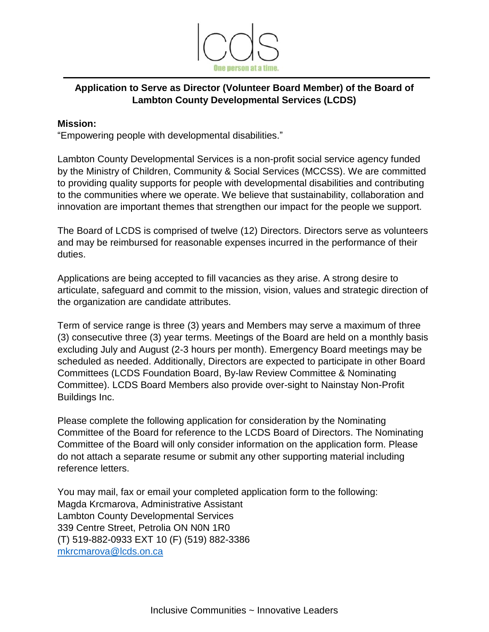

# **Application to Serve as Director (Volunteer Board Member) of the Board of Lambton County Developmental Services (LCDS)**

### **Mission:**

"Empowering people with developmental disabilities."

Lambton County Developmental Services is a non-profit social service agency funded by the Ministry of Children, Community & Social Services (MCCSS). We are committed to providing quality supports for people with developmental disabilities and contributing to the communities where we operate. We believe that sustainability, collaboration and innovation are important themes that strengthen our impact for the people we support.

The Board of LCDS is comprised of twelve (12) Directors. Directors serve as volunteers and may be reimbursed for reasonable expenses incurred in the performance of their duties.

Applications are being accepted to fill vacancies as they arise. A strong desire to articulate, safeguard and commit to the mission, vision, values and strategic direction of the organization are candidate attributes.

Term of service range is three (3) years and Members may serve a maximum of three (3) consecutive three (3) year terms. Meetings of the Board are held on a monthly basis excluding July and August (2-3 hours per month). Emergency Board meetings may be scheduled as needed. Additionally, Directors are expected to participate in other Board Committees (LCDS Foundation Board, By-law Review Committee & Nominating Committee). LCDS Board Members also provide over-sight to Nainstay Non-Profit Buildings Inc.

Please complete the following application for consideration by the Nominating Committee of the Board for reference to the LCDS Board of Directors. The Nominating Committee of the Board will only consider information on the application form. Please do not attach a separate resume or submit any other supporting material including reference letters.

You may mail, fax or email your completed application form to the following: Magda Krcmarova, Administrative Assistant Lambton County Developmental Services 339 Centre Street, Petrolia ON N0N 1R0 (T) 519-882-0933 EXT 10 (F) (519) 882-3386 [mkrcmarova@lcds.on.ca](mailto:mwillard@lcds.on.ca)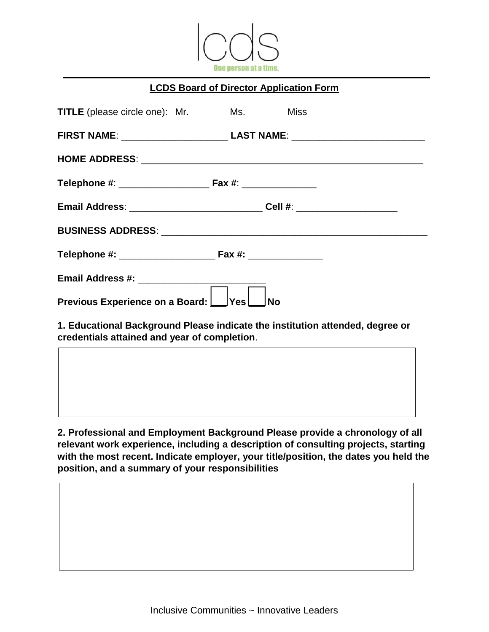

### **LCDS Board of Director Application Form**

| <b>TITLE</b> (please circle one): Mr.                                            | Ms. Miss |           |
|----------------------------------------------------------------------------------|----------|-----------|
| FIRST NAME: ____________________________ LAST NAME: ____________________________ |          |           |
|                                                                                  |          |           |
|                                                                                  |          |           |
| Email Address: __________________________________Cell #: _______________________ |          |           |
|                                                                                  |          |           |
|                                                                                  |          |           |
|                                                                                  |          |           |
| Previous Experience on a Board: Ves                                              |          | <b>No</b> |

**1. Educational Background Please indicate the institution attended, degree or credentials attained and year of completion**.

**2. Professional and Employment Background Please provide a chronology of all relevant work experience, including a description of consulting projects, starting with the most recent. Indicate employer, your title/position, the dates you held the position, and a summary of your responsibilities**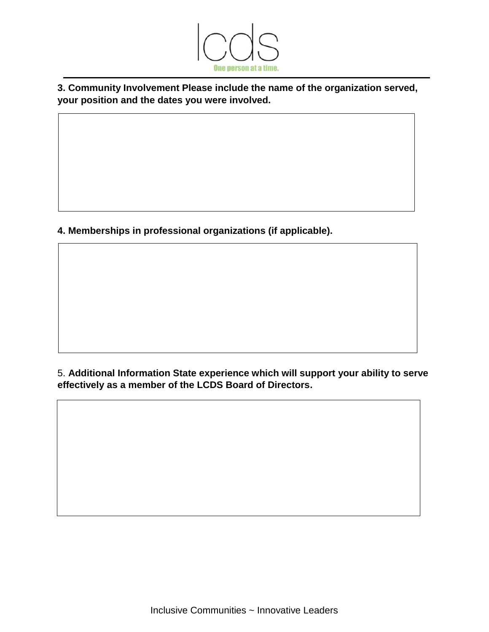

**3. Community Involvement Please include the name of the organization served, your position and the dates you were involved.**

**4. Memberships in professional organizations (if applicable).** 

5. **Additional Information State experience which will support your ability to serve effectively as a member of the LCDS Board of Directors.**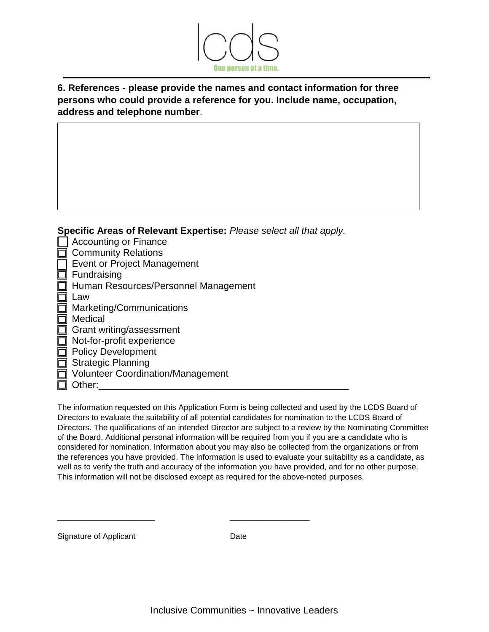

## **6. References** - **please provide the names and contact information for three persons who could provide a reference for you. Include name, occupation, address and telephone number**.

**Specific Areas of Relevant Expertise:** *Please select all that apply.*

- **□ Accounting or Finance**
- **Community Relations**
- **T** Event or Project Management
- $\Box$  Fundraising
- □ Human Resources/Personnel Management
- $\Box$  Law
- **Marketing/Communications**
- **□** Medical
- $\Box$  Grant writing/assessment
- $\Box$  Not-for-profit experience
- □ Policy Development
- □ Strategic Planning
- □ Volunteer Coordination/Management
- $\Box$  Other:

The information requested on this Application Form is being collected and used by the LCDS Board of Directors to evaluate the suitability of all potential candidates for nomination to the LCDS Board of Directors. The qualifications of an intended Director are subject to a review by the Nominating Committee of the Board. Additional personal information will be required from you if you are a candidate who is considered for nomination. Information about you may also be collected from the organizations or from the references you have provided. The information is used to evaluate your suitability as a candidate, as well as to verify the truth and accuracy of the information you have provided, and for no other purpose. This information will not be disclosed except as required for the above-noted purposes.

Signature of Applicant Date

\_\_\_\_\_\_\_\_\_\_\_\_\_\_\_\_\_\_\_\_\_\_ \_\_\_\_\_\_\_\_\_\_\_\_\_\_\_\_\_\_